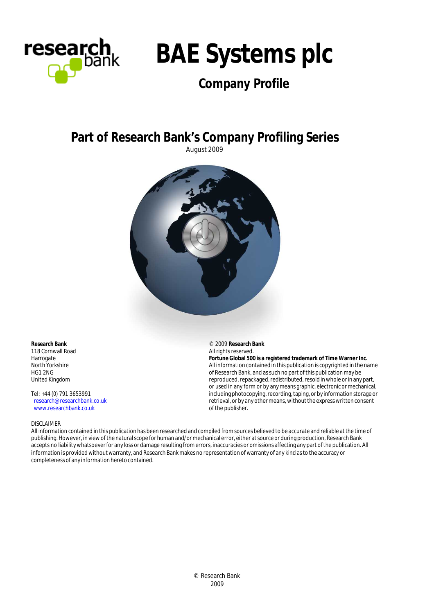



# **Company Profile**

# **Part of Research Bank's Company Profiling Series**

August 2009



© 2009 **Research Bank** All rights reserved.

of the publisher.

**Fortune Global 500 is a registered trademark of Time Warner Inc.** All information contained in this publication is copyrighted in the name of Research Bank, and as such no part of this publication may be reproduced, repackaged, redistributed, resold in whole or in any part, or used in any form or by any means graphic, electronic or mechanical, including photocopying, recording, taping, or by information storage or retrieval, or by any other means, without the express written consent

**Research Bank** 118 Cornwall Road Harrogate North Yorkshire HG1 2NG United Kingdom

Tel: +44 (0) 791 3653991 research@researchbank.co.uk www.researchbank.co.uk

#### DISCLAIMER

All information contained in this publication has been researched and compiled from sources believed to be accurate and reliable at the time of publishing. However, in view of the natural scope for human and/or mechanical error, either at source or during production, Research Bank accepts no liability whatsoever for any loss or damage resulting from errors, inaccuracies or omissions affecting any part of the publication. All information is provided without warranty, and Research Bank makes no representation of warranty of any kind as to the accuracy or completeness of any information hereto contained.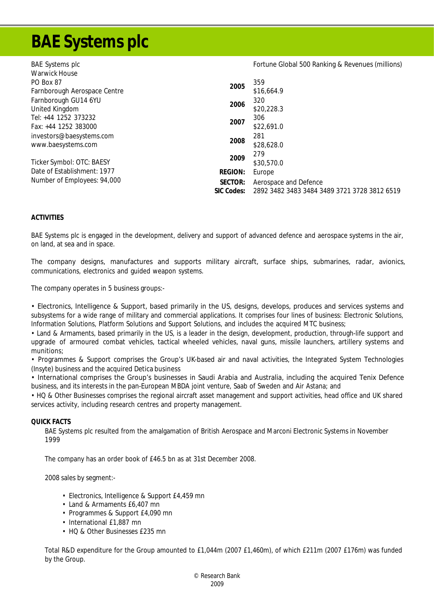# **BAE Systems plc**

| <b>BAE Systems plc</b>                                 |            | Fortune Global 500 Ranking & Revenues (millions) |  |  |  |
|--------------------------------------------------------|------------|--------------------------------------------------|--|--|--|
| <b>Warwick House</b>                                   |            |                                                  |  |  |  |
| PO Box 87                                              | 2005       | 359                                              |  |  |  |
| Farnborough Aerospace Centre                           |            | \$16,664.9                                       |  |  |  |
| Farnborough GU14 6YU                                   |            | 320                                              |  |  |  |
| United Kingdom                                         | 2006       | \$20,228.3                                       |  |  |  |
| Tel: +44 1252 373232                                   | 2007       | 306                                              |  |  |  |
| Fax: +44 1252 383000                                   |            | \$22,691.0                                       |  |  |  |
| investors@baesystems.com<br>2008<br>www.baesystems.com |            | 281                                              |  |  |  |
|                                                        |            | \$28,628.0                                       |  |  |  |
|                                                        | 2009       | 279                                              |  |  |  |
| Ticker Symbol: OTC: BAESY                              |            | \$30,570.0                                       |  |  |  |
| Date of Establishment: 1977                            | REGION:    | Europe                                           |  |  |  |
| Number of Employees: 94,000                            | SECTOR:    | Aerospace and Defence                            |  |  |  |
|                                                        | SIC Codes: | 2892 3482 3483 3484 3489 3721 3728 3812 6519     |  |  |  |

# **ACTIVITIES**

BAE Systems plc is engaged in the development, delivery and support of advanced defence and aerospace systems in the air, on land, at sea and in space.

The company designs, manufactures and supports military aircraft, surface ships, submarines, radar, avionics, communications, electronics and guided weapon systems.

The company operates in 5 business groups:-

• Electronics, Intelligence & Support, based primarily in the US, designs, develops, produces and services systems and subsystems for a wide range of military and commercial applications. It comprises four lines of business: Electronic Solutions, Information Solutions, Platform Solutions and Support Solutions, and includes the acquired MTC business;

• Land & Armaments, based primarily in the US, is a leader in the design, development, production, through-life support and upgrade of armoured combat vehicles, tactical wheeled vehicles, naval guns, missile launchers, artillery systems and munitions;

• Programmes & Support comprises the Group's UK-based air and naval activities, the Integrated System Technologies (Insyte) business and the acquired Detica business

• International comprises the Group's businesses in Saudi Arabia and Australia, including the acquired Tenix Defence business, and its interests in the pan-European MBDA joint venture, Saab of Sweden and Air Astana; and

• HQ & Other Businesses comprises the regional aircraft asset management and support activities, head office and UK shared services activity, including research centres and property management.

#### **QUICK FACTS**

BAE Systems plc resulted from the amalgamation of British Aerospace and Marconi Electronic Systems in November 1999

The company has an order book of £46.5 bn as at 31st December 2008.

2008 sales by segment:-

- Electronics, Intelligence & Support £4,459 mn
- Land & Armaments £6,407 mn
- Programmes & Support £4,090 mn
- International £1,887 mn
- HQ & Other Businesses £235 mn

Total R&D expenditure for the Group amounted to £1,044m (2007 £1,460m), of which £211m (2007 £176m) was funded by the Group.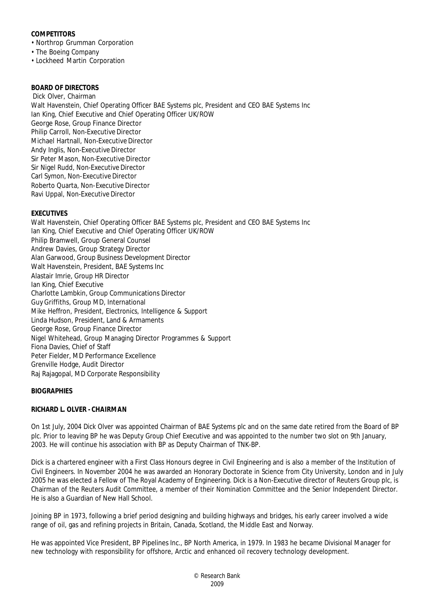# **COMPETITORS**

- Northrop Grumman Corporation
- The Boeing Company
- Lockheed Martin Corporation

**BOARD OF DIRECTORS** Dick Olver, Chairman Walt Havenstein, Chief Operating Officer BAE Systems plc, President and CEO BAE Systems Inc Ian King, Chief Executive and Chief Operating Officer UK/ROW George Rose, Group Finance Director Philip Carroll, Non-Executive Director Michael Hartnall, Non-Executive Director Andy Inglis, Non-Executive Director Sir Peter Mason, Non-Executive Director Sir Nigel Rudd, Non-Executive Director Carl Symon, Non-Executive Director Roberto Quarta, Non-Executive Director Ravi Uppal, Non-Executive Director

# **EXECUTIVES**

Walt Havenstein, Chief Operating Officer BAE Systems plc, President and CEO BAE Systems Inc Ian King, Chief Executive and Chief Operating Officer UK/ROW Philip Bramwell, Group General Counsel Andrew Davies, Group Strategy Director Alan Garwood, Group Business Development Director Walt Havenstein, President, BAE Systems Inc Alastair Imrie, Group HR Director Ian King, Chief Executive Charlotte Lambkin, Group Communications Director Guy Griffiths, Group MD, International Mike Heffron, President, Electronics, Intelligence & Support Linda Hudson, President, Land & Armaments George Rose, Group Finance Director Nigel Whitehead, Group Managing Director Programmes & Support Fiona Davies, Chief of Staff Peter Fielder, MD Performance Excellence Grenville Hodge, Audit Director Raj Rajagopal, MD Corporate Responsibility

# **BIOGRAPHIES**

# **RICHARD L. OLVER - CHAIRMAN**

On 1st July, 2004 Dick Olver was appointed Chairman of BAE Systems plc and on the same date retired from the Board of BP plc. Prior to leaving BP he was Deputy Group Chief Executive and was appointed to the number two slot on 9th January, 2003. He will continue his association with BP as Deputy Chairman of TNK-BP.

Dick is a chartered engineer with a First Class Honours degree in Civil Engineering and is also a member of the Institution of Civil Engineers. In November 2004 he was awarded an Honorary Doctorate in Science from City University, London and in July 2005 he was elected a Fellow of The Royal Academy of Engineering. Dick is a Non-Executive director of Reuters Group plc, is Chairman of the Reuters Audit Committee, a member of their Nomination Committee and the Senior Independent Director. He is also a Guardian of New Hall School.

Joining BP in 1973, following a brief period designing and building highways and bridges, his early career involved a wide range of oil, gas and refining projects in Britain, Canada, Scotland, the Middle East and Norway.

He was appointed Vice President, BP Pipelines Inc., BP North America, in 1979. In 1983 he became Divisional Manager for new technology with responsibility for offshore, Arctic and enhanced oil recovery technology development.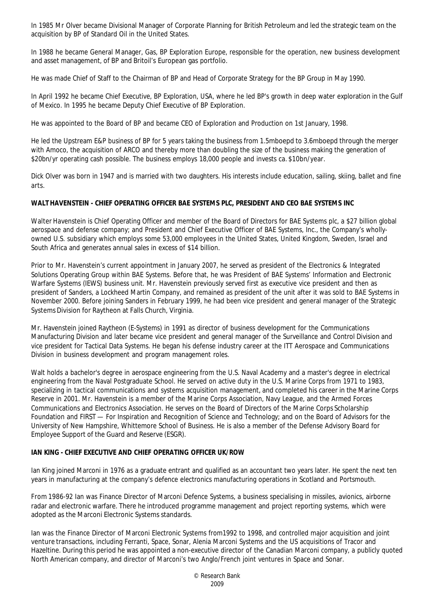In 1985 Mr Olver became Divisional Manager of Corporate Planning for British Petroleum and led the strategic team on the acquisition by BP of Standard Oil in the United States.

In 1988 he became General Manager, Gas, BP Exploration Europe, responsible for the operation, new business development and asset management, of BP and Britoil's European gas portfolio.

He was made Chief of Staff to the Chairman of BP and Head of Corporate Strategy for the BP Group in May 1990.

In April 1992 he became Chief Executive, BP Exploration, USA, where he led BP's growth in deep water exploration in the Gulf of Mexico. In 1995 he became Deputy Chief Executive of BP Exploration.

He was appointed to the Board of BP and became CEO of Exploration and Production on 1st January, 1998.

He led the Upstream E&P business of BP for 5 years taking the business from 1.5mboepd to 3.6mboepd through the merger with Amoco, the acquisition of ARCO and thereby more than doubling the size of the business making the generation of \$20bn/yr operating cash possible. The business employs 18,000 people and invests ca. \$10bn/year.

Dick Olver was born in 1947 and is married with two daughters. His interests include education, sailing, skiing, ballet and fine arts.

**WALT HAVENSTEIN - CHIEF OPERATING OFFICER BAE SYSTEMS PLC, PRESIDENT AND CEO BAE SYSTEMS INC**

Walter Havenstein is Chief Operating Officer and member of the Board of Directors for BAE Systems plc, a \$27 billion global aerospace and defense company; and President and Chief Executive Officer of BAE Systems, Inc., the Company's whollyowned U.S. subsidiary which employs some 53,000 employees in the United States, United Kingdom, Sweden, Israel and South Africa and generates annual sales in excess of \$14 billion.

Prior to Mr. Havenstein's current appointment in January 2007, he served as president of the Electronics & Integrated Solutions Operating Group within BAE Systems. Before that, he was President of BAE Systems' Information and Electronic Warfare Systems (IEWS) business unit. Mr. Havenstein previously served first as executive vice president and then as president of Sanders, a Lockheed Martin Company, and remained as president of the unit after it was sold to BAE Systems in November 2000. Before joining Sanders in February 1999, he had been vice president and general manager of the Strategic Systems Division for Raytheon at Falls Church, Virginia.

Mr. Havenstein joined Raytheon (E-Systems) in 1991 as director of business development for the Communications Manufacturing Division and later became vice president and general manager of the Surveillance and Control Division and vice president for Tactical Data Systems. He began his defense industry career at the ITT Aerospace and Communications Division in business development and program management roles.

Walt holds a bachelor's degree in aerospace engineering from the U.S. Naval Academy and a master's degree in electrical engineering from the Naval Postgraduate School. He served on active duty in the U.S. Marine Corps from 1971 to 1983, specializing in tactical communications and systems acquisition management, and completed his career in the Marine Corps Reserve in 2001. Mr. Havenstein is a member of the Marine Corps Association, Navy League, and the Armed Forces Communications and Electronics Association. He serves on the Board of Directors of the Marine Corps Scholarship Foundation and FIRST — For Inspiration and Recognition of Science and Technology; and on the Board of Advisors for the University of New Hampshire, Whittemore School of Business. He is also a member of the Defense Advisory Board for Employee Support of the Guard and Reserve (ESGR).

# **IAN KING - CHIEF EXECUTIVE AND CHIEF OPERATING OFFICER UK/ROW**

Ian King joined Marconi in 1976 as a graduate entrant and qualified as an accountant two years later. He spent the next ten years in manufacturing at the company's defence electronics manufacturing operations in Scotland and Portsmouth.

From 1986-92 Ian was Finance Director of Marconi Defence Systems, a business specialising in missiles, avionics, airborne radar and electronic warfare. There he introduced programme management and project reporting systems, which were adopted as the Marconi Electronic Systems standards.

Ian was the Finance Director of Marconi Electronic Systems from1992 to 1998, and controlled major acquisition and joint venture transactions, including Ferranti, Space, Sonar, Alenia Marconi Systems and the US acquisitions of Tracor and Hazeltine. During this period he was appointed a non-executive director of the Canadian Marconi company, a publicly quoted North American company, and director of Marconi's two Anglo/French joint ventures in Space and Sonar.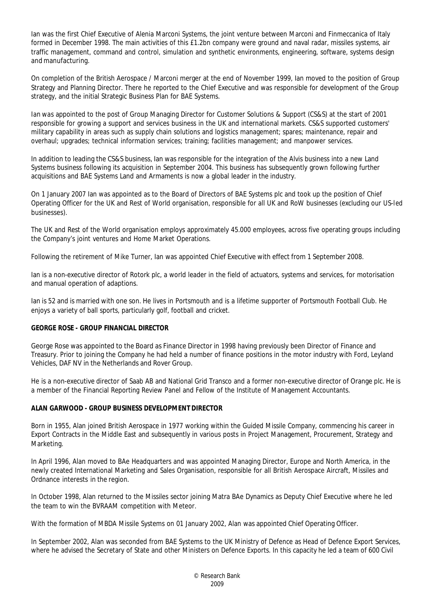Ian was the first Chief Executive of Alenia Marconi Systems, the joint venture between Marconi and Finmeccanica of Italy formed in December 1998. The main activities of this £1.2bn company were ground and naval radar, missiles systems, air traffic management, command and control, simulation and synthetic environments, engineering, software, systems design and manufacturing.

On completion of the British Aerospace / Marconi merger at the end of November 1999, Ian moved to the position of Group Strategy and Planning Director. There he reported to the Chief Executive and was responsible for development of the Group strategy, and the initial Strategic Business Plan for BAE Systems.

Ian was appointed to the post of Group Managing Director for Customer Solutions & Support (CS&S) at the start of 2001 responsible for growing a support and services business in the UK and international markets. CS&S supported customers' military capability in areas such as supply chain solutions and logistics management; spares; maintenance, repair and overhaul; upgrades; technical information services; training; facilities management; and manpower services.

In addition to leading the CS&S business, Ian was responsible for the integration of the Alvis business into a new Land Systems business following its acquisition in September 2004. This business has subsequently grown following further acquisitions and BAE Systems Land and Armaments is now a global leader in the industry.

On 1 January 2007 Ian was appointed as to the Board of Directors of BAE Systems plc and took up the position of Chief Operating Officer for the UK and Rest of World organisation, responsible for all UK and RoW businesses (excluding our US-led businesses).

The UK and Rest of the World organisation employs approximately 45.000 employees, across five operating groups including the Company's joint ventures and Home Market Operations.

Following the retirement of Mike Turner, Ian was appointed Chief Executive with effect from 1 September 2008.

Ian is a non-executive director of Rotork plc, a world leader in the field of actuators, systems and services, for motorisation and manual operation of adaptions.

Ian is 52 and is married with one son. He lives in Portsmouth and is a lifetime supporter of Portsmouth Football Club. He enjoys a variety of ball sports, particularly golf, football and cricket.

# **GEORGE ROSE - GROUP FINANCIAL DIRECTOR**

George Rose was appointed to the Board as Finance Director in 1998 having previously been Director of Finance and Treasury. Prior to joining the Company he had held a number of finance positions in the motor industry with Ford, Leyland Vehicles, DAF NV in the Netherlands and Rover Group.

He is a non-executive director of Saab AB and National Grid Transco and a former non-executive director of Orange plc. He is a member of the Financial Reporting Review Panel and Fellow of the Institute of Management Accountants.

# **ALAN GARWOOD - GROUP BUSINESS DEVELOPMENT DIRECTOR**

Born in 1955, Alan joined British Aerospace in 1977 working within the Guided Missile Company, commencing his career in Export Contracts in the Middle East and subsequently in various posts in Project Management, Procurement, Strategy and Marketing.

In April 1996, Alan moved to BAe Headquarters and was appointed Managing Director, Europe and North America, in the newly created International Marketing and Sales Organisation, responsible for all British Aerospace Aircraft, Missiles and Ordnance interests in the region.

In October 1998, Alan returned to the Missiles sector joining Matra BAe Dynamics as Deputy Chief Executive where he led the team to win the BVRAAM competition with Meteor.

With the formation of MBDA Missile Systems on 01 January 2002, Alan was appointed Chief Operating Officer.

In September 2002, Alan was seconded from BAE Systems to the UK Ministry of Defence as Head of Defence Export Services, where he advised the Secretary of State and other Ministers on Defence Exports. In this capacity he led a team of 600 Civil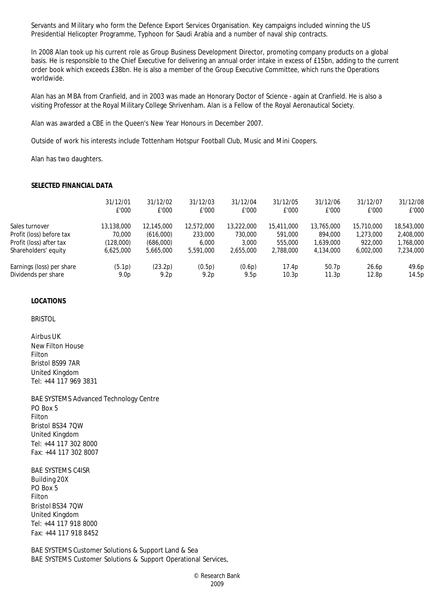Servants and Military who form the Defence Export Services Organisation. Key campaigns included winning the US Presidential Helicopter Programme, Typhoon for Saudi Arabia and a number of naval ship contracts.

In 2008 Alan took up his current role as Group Business Development Director, promoting company products on a global basis. He is responsible to the Chief Executive for delivering an annual order intake in excess of £15bn, adding to the current order book which exceeds £38bn. He is also a member of the Group Executive Committee, which runs the Operations worldwide.

Alan has an MBA from Cranfield, and in 2003 was made an Honorary Doctor of Science - again at Cranfield. He is also a visiting Professor at the Royal Military College Shrivenham. Alan is a Fellow of the Royal Aeronautical Society.

Alan was awarded a CBE in the Queen's New Year Honours in December 2007.

Outside of work his interests include Tottenham Hotspur Football Club, Music and Mini Coopers.

Alan has two daughters.

#### **SELECTED FINANCIAL DATA**

|                           | 31/12/01<br>£'000 | 31/12/02<br>£'000 | 31/12/03<br>£'000 | 31/12/04<br>£'000 | 31/12/05<br>£'000 | 31/12/06<br>£'000 | 31/12/07<br>£'000 | 31/12/08<br>£'000 |
|---------------------------|-------------------|-------------------|-------------------|-------------------|-------------------|-------------------|-------------------|-------------------|
| Sales turnover            | 13,138,000        | 12,145,000        | 12,572,000        | 13,222,000        | 15,411,000        | 13,765,000        | 15,710,000        | 18,543,000        |
| Profit (loss) before tax  | 70,000            | (616,000)         | 233,000           | 730,000           | 591,000           | 894,000           | 1,273,000         | 2,408,000         |
| Profit (loss) after tax   | (128,000)         | (686,000)         | 6.000             | 3,000             | 555,000           | 1,639,000         | 922,000           | 1,768,000         |
| Shareholders' equity      | 6.625.000         | 5,665,000         | 5,591,000         | 2.655.000         | 2,788,000         | 4.134.000         | 6,002,000         | 7,234,000         |
| Earnings (loss) per share | (5.1p)            | (23.2p)           | (0.5p)            | (0.6p)            | 17.4p             | 50.7 <sub>p</sub> | 26.6p             | 49.6p             |
| Dividends per share       | 9.0 <sub>p</sub>  | 9.2 <sub>p</sub>  | 9.2 <sub>p</sub>  | 9.5p              | 10.3p             | 11.3p             | 12.8p             | 14.5p             |

#### **LOCATIONS**

BRISTOL

Airbus UK New Filton House Filton Bristol BS99 7AR United Kingdom Tel: +44 117 969 3831

BAE SYSTEMS Advanced Technology Centre PO Box 5 Filton Bristol BS34 7QW United Kingdom Tel: +44 117 302 8000 Fax: +44 117 302 8007

BAE SYSTEMS C4ISR Building 20X PO Box 5 Filton Bristol BS34 7QW United Kingdom Tel: +44 117 918 8000 Fax: +44 117 918 8452

BAE SYSTEMS Customer Solutions & Support Land & Sea BAE SYSTEMS Customer Solutions & Support Operational Services,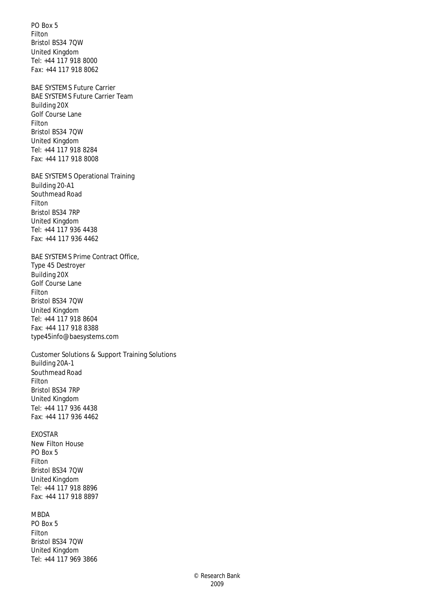PO Box 5 Filton Bristol BS34 7QW United Kingdom Tel: +44 117 918 8000 Fax: +44 117 918 8062

BAE SYSTEMS Future Carrier BAE SYSTEMS Future Carrier Team Building 20X Golf Course Lane Filton Bristol BS34 7QW United Kingdom Tel: +44 117 918 8284 Fax: +44 117 918 8008

BAE SYSTEMS Operational Training Building 20-A1 Southmead Road Filton Bristol BS34 7RP United Kingdom Tel: +44 117 936 4438 Fax: +44 117 936 4462

BAE SYSTEMS Prime Contract Office, Type 45 Destroyer Building 20X Golf Course Lane Filton Bristol BS34 7QW United Kingdom Tel: +44 117 918 8604 Fax: +44 117 918 8388 type45info@baesystems.com

Customer Solutions & Support Training Solutions Building 20A-1 Southmead Road Filton Bristol BS34 7RP United Kingdom Tel: +44 117 936 4438 Fax: +44 117 936 4462

# EXOSTAR

New Filton House PO Box 5 Filton Bristol BS34 7QW United Kingdom Tel: +44 117 918 8896 Fax: +44 117 918 8897

# MBDA

PO Box 5 Filton Bristol BS34 7QW United Kingdom Tel: +44 117 969 3866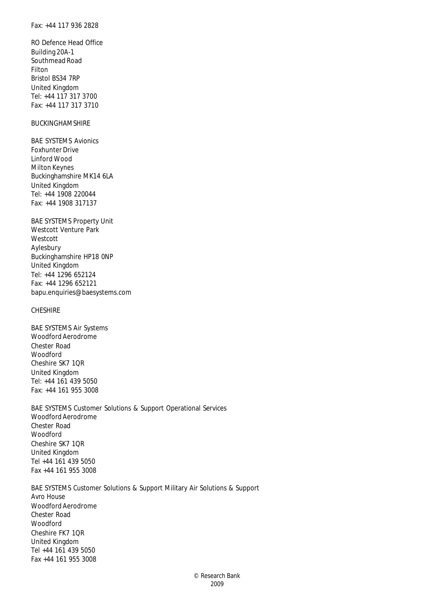RO Defence Head Office Building 20A-1 Southmead Road Filton Bristol BS34 7RP United Kingdom Tel: +44 117 317 3700 Fax: +44 117 317 3710

# BUCKINGHAMSHIRE

BAE SYSTEMS Avionics Foxhunter Drive Linford Wood Milton Keynes Buckinghamshire MK14 6LA United Kingdom Tel: +44 1908 220044 Fax: +44 1908 317137

BAE SYSTEMS Property Unit Westcott Venture Park Westcott Aylesbury Buckinghamshire HP18 0NP United Kingdom Tel: +44 1296 652124 Fax: +44 1296 652121 bapu.enquiries@baesystems.com

# **CHESHIRE**

BAE SYSTEMS Air Systems Woodford Aerodrome Chester Road Woodford Cheshire SK7 1QR United Kingdom Tel: +44 161 439 5050 Fax: +44 161 955 3008

BAE SYSTEMS Customer Solutions & Support Operational Services Woodford Aerodrome Chester Road Woodford Cheshire SK7 1QR United Kingdom Tel +44 161 439 5050 Fax +44 161 955 3008

BAE SYSTEMS Customer Solutions & Support Military Air Solutions & Support Avro House Woodford Aerodrome Chester Road Woodford Cheshire FK7 1QR United Kingdom Tel +44 161 439 5050 Fax +44 161 955 3008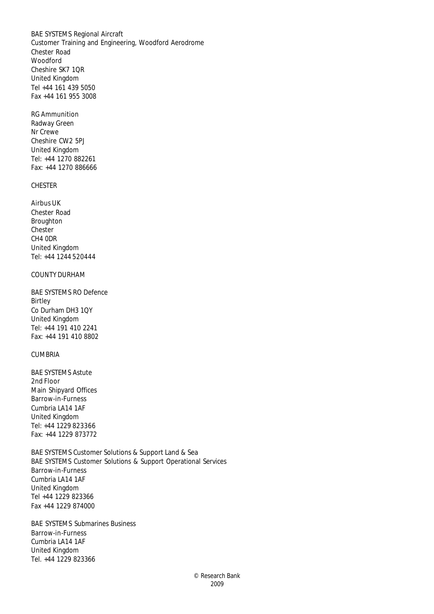BAE SYSTEMS Regional Aircraft Customer Training and Engineering, Woodford Aerodrome Chester Road Woodford Cheshire SK7 1QR United Kingdom Tel +44 161 439 5050 Fax +44 161 955 3008

RG Ammunition Radway Green Nr Crewe Cheshire CW2 5PJ United Kingdom Tel: +44 1270 882261 Fax: +44 1270 886666

# CHESTER

Airbus UK Chester Road **Broughton** Chester CH4 0DR United Kingdom Tel: +44 1244 520444

# COUNTY DURHAM

BAE SYSTEMS RO Defence Birtley Co Durham DH3 1QY United Kingdom Tel: +44 191 410 2241 Fax: +44 191 410 8802

# CUMBRIA

BAE SYSTEMS Astute 2nd Floor Main Shipyard Offices Barrow-in-Furness Cumbria LA14 1AF United Kingdom Tel: +44 1229 823366 Fax: +44 1229 873772

BAE SYSTEMS Customer Solutions & Support Land & Sea BAE SYSTEMS Customer Solutions & Support Operational Services Barrow-in-Furness Cumbria LA14 1AF United Kingdom Tel +44 1229 823366 Fax +44 1229 874000

BAE SYSTEMS Submarines Business Barrow-in-Furness Cumbria LA14 1AF United Kingdom Tel. +44 1229 823366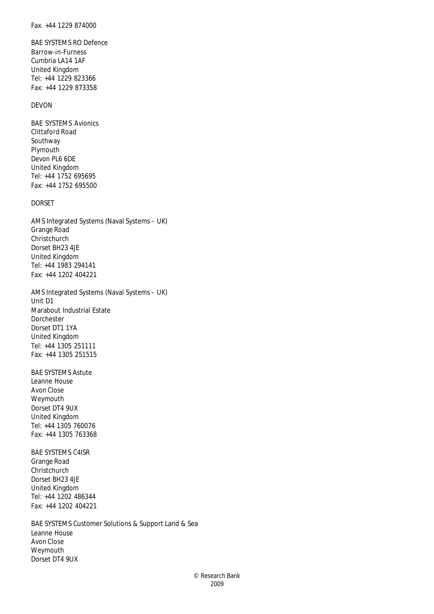BAE SYSTEMS RO Defence Barrow-in-Furness Cumbria LA14 1AF United Kingdom Tel: +44 1229 823366 Fax: +44 1229 873358

# DEVON

BAE SYSTEMS Avionics Clittaford Road Southway Plymouth Devon PL6 6DE United Kingdom Tel: +44 1752 695695 Fax: +44 1752 695500

# DORSET

AMS Integrated Systems (Naval Systems – UK) Grange Road **Christchurch** Dorset BH23 4JE United Kingdom Tel: +44 1983 294141 Fax: +44 1202 404221

AMS Integrated Systems (Naval Systems – UK) Unit D1 Marabout Industrial Estate Dorchester Dorset DT1 1YA United Kingdom Tel: +44 1305 251111 Fax: +44 1305 251515

BAE SYSTEMS Astute Leanne House Avon Close Weymouth Dorset DT4 9UX United Kingdom Tel: +44 1305 760076 Fax: +44 1305 763368

BAE SYSTEMS C4ISR Grange Road Christchurch Dorset BH23 4JE United Kingdom Tel: +44 1202 486344 Fax: +44 1202 404221

BAE SYSTEMS Customer Solutions & Support Land & Sea Leanne House Avon Close Weymouth Dorset DT4 9UX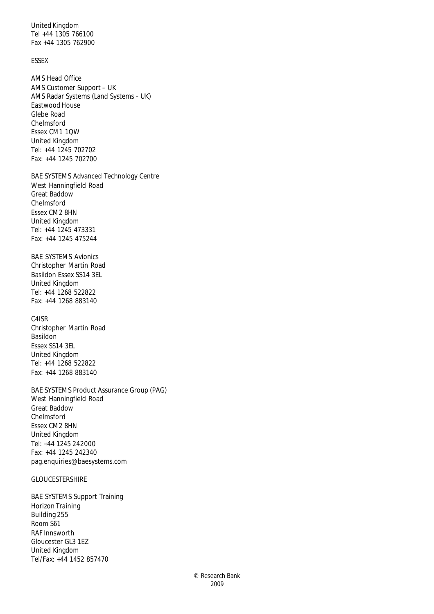United Kingdom Tel +44 1305 766100 Fax +44 1305 762900

# ESSEX

AMS Head Office AMS Customer Support – UK AMS Radar Systems (Land Systems – UK) Eastwood House Glebe Road Chelmsford Essex CM1 1QW United Kingdom Tel: +44 1245 702702 Fax: +44 1245 702700

BAE SYSTEMS Advanced Technology Centre West Hanningfield Road Great Baddow Chelmsford Essex CM2 8HN United Kingdom Tel: +44 1245 473331 Fax: +44 1245 475244

BAE SYSTEMS Avionics Christopher Martin Road Basildon Essex SS14 3EL United Kingdom Tel: +44 1268 522822 Fax: +44 1268 883140

C4ISR Christopher Martin Road Basildon Essex SS14 3EL United Kingdom Tel: +44 1268 522822 Fax: +44 1268 883140

BAE SYSTEMS Product Assurance Group (PAG) West Hanningfield Road Great Baddow Chelmsford Essex CM2 8HN United Kingdom Tel: +44 1245 242000 Fax: +44 1245 242340 pag.enquiries@baesystems.com

# GLOUCESTERSHIRE

BAE SYSTEMS Support Training Horizon Training Building 255 Room S61 RAF Innsworth Gloucester GL3 1EZ United Kingdom Tel/Fax: +44 1452 857470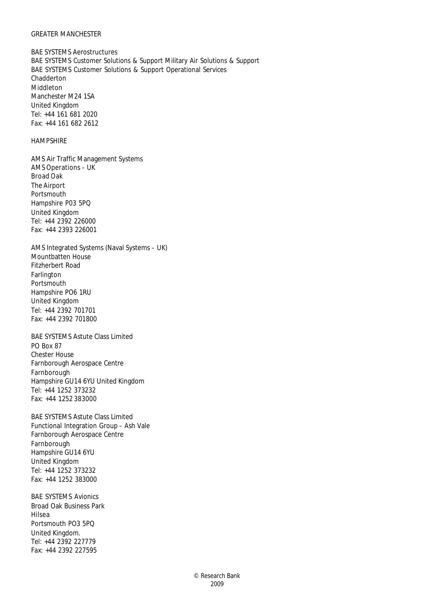#### GREATER MANCHESTER

BAE SYSTEMS Aerostructures BAE SYSTEMS Customer Solutions & Support Military Air Solutions & Support BAE SYSTEMS Customer Solutions & Support Operational Services Chadderton Middleton Manchester M24 1SA United Kingdom Tel: +44 161 681 2020 Fax: +44 161 682 2612

# HAMPSHIRE

AMS Air Traffic Management Systems AMS Operations – UK Broad Oak The Airport Portsmouth Hampshire P03 5PQ United Kingdom Tel: +44 2392 226000 Fax: +44 2393 226001

AMS Integrated Systems (Naval Systems – UK) Mountbatten House Fitzherbert Road Farlington Portsmouth Hampshire PO6 1RU United Kingdom Tel: +44 2392 701701 Fax: +44 2392 701800

BAE SYSTEMS Astute Class Limited PO Box 87 Chester House Farnborough Aerospace Centre Farnborough Hampshire GU14 6YU United Kingdom Tel: +44 1252 373232 Fax: +44 1252 383000

BAE SYSTEMS Astute Class Limited Functional Integration Group – Ash Vale Farnborough Aerospace Centre Farnborough Hampshire GU14 6YU United Kingdom Tel: +44 1252 373232 Fax: +44 1252 383000

BAE SYSTEMS Avionics Broad Oak Business Park Hilsea Portsmouth PO3 5PQ United Kingdom. Tel: +44 2392 227779 Fax: +44 2392 227595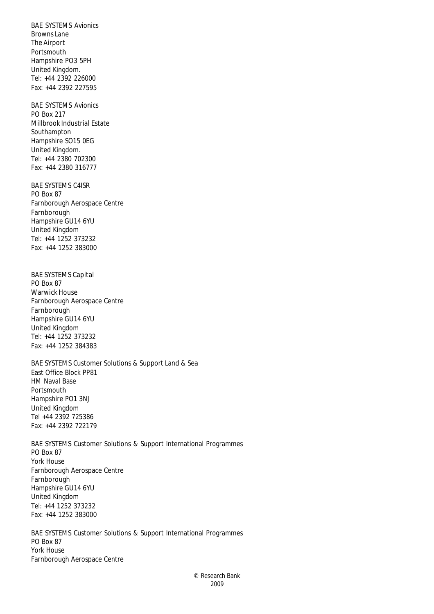BAE SYSTEMS Avionics Browns Lane The Airport Portsmouth Hampshire PO3 5PH United Kingdom. Tel: +44 2392 226000 Fax: +44 2392 227595

BAE SYSTEMS Avionics PO Box 217 Millbrook Industrial Estate Southampton Hampshire SO15 0EG United Kingdom. Tel: +44 2380 702300 Fax: +44 2380 316777

BAE SYSTEMS C4ISR PO Box 87 Farnborough Aerospace Centre Farnborough Hampshire GU14 6YU United Kingdom Tel: +44 1252 373232 Fax: +44 1252 383000

BAE SYSTEMS Capital PO Box 87 Warwick House Farnborough Aerospace Centre Farnborough Hampshire GU14 6YU United Kingdom Tel: +44 1252 373232 Fax: +44 1252 384383

BAE SYSTEMS Customer Solutions & Support Land & Sea East Office Block PP81 HM Naval Base Portsmouth Hampshire PO1 3NJ United Kingdom Tel +44 2392 725386 Fax: +44 2392 722179

BAE SYSTEMS Customer Solutions & Support International Programmes PO Box 87 York House Farnborough Aerospace Centre Farnborough Hampshire GU14 6YU United Kingdom Tel: +44 1252 373232 Fax: +44 1252 383000

BAE SYSTEMS Customer Solutions & Support International Programmes PO Box 87 York House Farnborough Aerospace Centre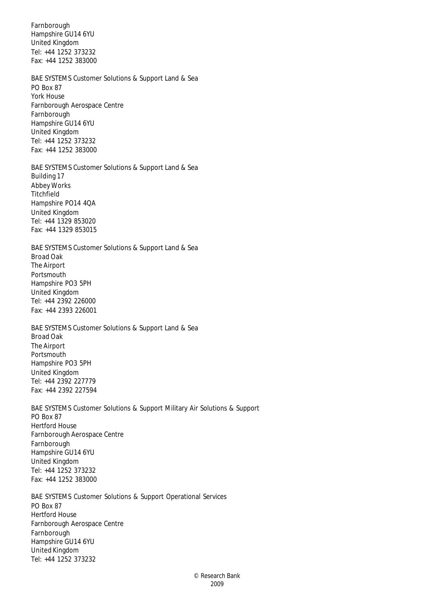Farnborough Hampshire GU14 6YU United Kingdom Tel: +44 1252 373232 Fax: +44 1252 383000

BAE SYSTEMS Customer Solutions & Support Land & Sea PO Box 87 York House Farnborough Aerospace Centre Farnborough Hampshire GU14 6YU United Kingdom Tel: +44 1252 373232 Fax: +44 1252 383000

BAE SYSTEMS Customer Solutions & Support Land & Sea Building 17 Abbey Works Titchfield Hampshire PO14 4QA United Kingdom Tel: +44 1329 853020 Fax: +44 1329 853015

BAE SYSTEMS Customer Solutions & Support Land & Sea Broad Oak The Airport Portsmouth Hampshire PO3 5PH United Kingdom Tel: +44 2392 226000 Fax: +44 2393 226001

BAE SYSTEMS Customer Solutions & Support Land & Sea Broad Oak The Airport Portsmouth Hampshire PO3 5PH United Kingdom Tel: +44 2392 227779 Fax: +44 2392 227594

BAE SYSTEMS Customer Solutions & Support Military Air Solutions & Support PO Box 87 Hertford House Farnborough Aerospace Centre Farnborough Hampshire GU14 6YU United Kingdom Tel: +44 1252 373232 Fax: +44 1252 383000

BAE SYSTEMS Customer Solutions & Support Operational Services PO Box 87 Hertford House Farnborough Aerospace Centre Farnborough Hampshire GU14 6YU United Kingdom Tel: +44 1252 373232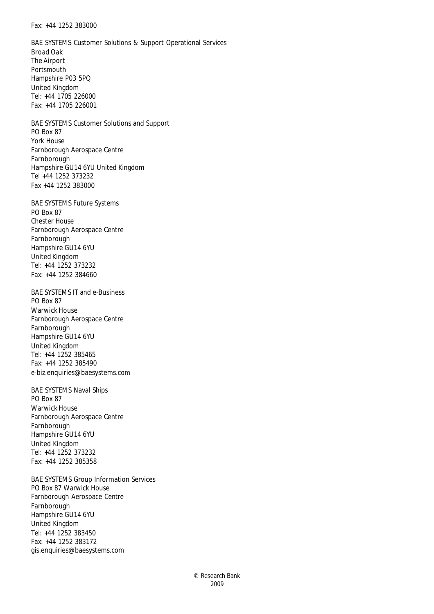#### Fax: +44 1252 383000

BAE SYSTEMS Customer Solutions & Support Operational Services Broad Oak The Airport Portsmouth Hampshire P03 5PQ United Kingdom Tel: +44 1705 226000 Fax: +44 1705 226001

BAE SYSTEMS Customer Solutions and Support PO Box 87 York House Farnborough Aerospace Centre Farnborough Hampshire GU14 6YU United Kingdom Tel +44 1252 373232 Fax +44 1252 383000

BAE SYSTEMS Future Systems PO Box 87 Chester House Farnborough Aerospace Centre Farnborough Hampshire GU14 6YU United Kingdom Tel: +44 1252 373232 Fax: +44 1252 384660

BAE SYSTEMS IT and e-Business PO Box 87 Warwick House Farnborough Aerospace Centre Farnborough Hampshire GU14 6YU United Kingdom Tel: +44 1252 385465 Fax: +44 1252 385490 e-biz.enquiries@baesystems.com

BAE SYSTEMS Naval Ships PO Box 87 Warwick House Farnborough Aerospace Centre Farnborough Hampshire GU14 6YU United Kingdom Tel: +44 1252 373232 Fax: +44 1252 385358

BAE SYSTEMS Group Information Services PO Box 87 Warwick House Farnborough Aerospace Centre Farnborough Hampshire GU14 6YU United Kingdom Tel: +44 1252 383450 Fax: +44 1252 383172 gis.enquiries@baesystems.com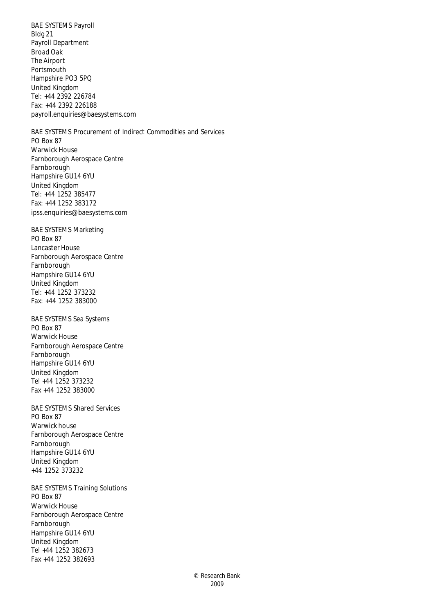BAE SYSTEMS Payroll Bldg 21 Payroll Department Broad Oak The Airport Portsmouth Hampshire PO3 5PQ United Kingdom Tel: +44 2392 226784 Fax: +44 2392 226188 payroll.enquiries@baesystems.com

BAE SYSTEMS Procurement of Indirect Commodities and Services PO Box 87 Warwick House Farnborough Aerospace Centre Farnborough Hampshire GU14 6YU United Kingdom Tel: +44 1252 385477 Fax: +44 1252 383172 ipss.enquiries@baesystems.com

BAE SYSTEMS Marketing PO Box 87 Lancaster House Farnborough Aerospace Centre Farnborough Hampshire GU14 6YU United Kingdom Tel: +44 1252 373232 Fax: +44 1252 383000

BAE SYSTEMS Sea Systems PO Box 87 Warwick House Farnborough Aerospace Centre Farnborough Hampshire GU14 6YU United Kingdom Tel +44 1252 373232 Fax +44 1252 383000

BAE SYSTEMS Shared Services PO Box 87 Warwick house Farnborough Aerospace Centre Farnborough Hampshire GU14 6YU United Kingdom +44 1252 373232

BAE SYSTEMS Training Solutions PO Box 87 Warwick House Farnborough Aerospace Centre Farnborough Hampshire GU14 6YU United Kingdom Tel +44 1252 382673 Fax +44 1252 382693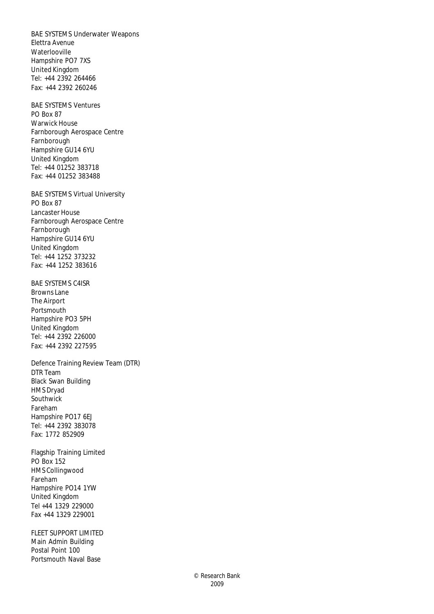BAE SYSTEMS Underwater Weapons Elettra Avenue Waterlooville Hampshire PO7 7XS United Kingdom Tel: +44 2392 264466 Fax: +44 2392 260246

BAE SYSTEMS Ventures PO Box 87 Warwick House Farnborough Aerospace Centre Farnborough Hampshire GU14 6YU United Kingdom Tel: +44 01252 383718 Fax: +44 01252 383488

BAE SYSTEMS Virtual University PO Box 87 Lancaster House Farnborough Aerospace Centre Farnborough Hampshire GU14 6YU United Kingdom Tel: +44 1252 373232 Fax: +44 1252 383616

BAE SYSTEMS C4ISR Browns Lane The Airport Portsmouth Hampshire PO3 5PH United Kingdom Tel: +44 2392 226000 Fax: +44 2392 227595

Defence Training Review Team (DTR) DTR Team Black Swan Building HMS Dryad Southwick Fareham Hampshire PO17 6EJ Tel: +44 2392 383078 Fax: 1772 852909

Flagship Training Limited PO Box 152 HMS Collingwood Fareham Hampshire PO14 1YW United Kingdom Tel +44 1329 229000 Fax +44 1329 229001

FLEET SUPPORT LIMITED Main Admin Building Postal Point 100 Portsmouth Naval Base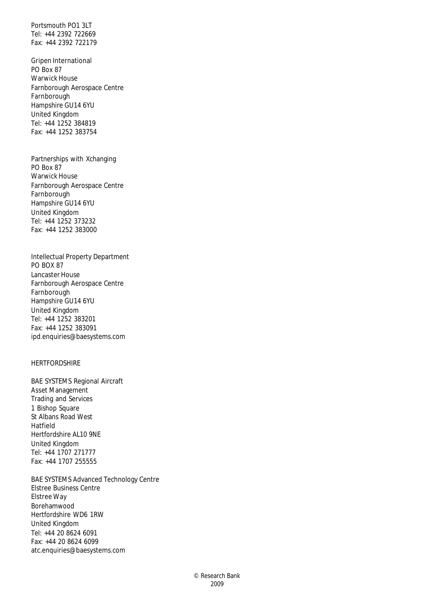Portsmouth PO1 3LT Tel: +44 2392 722669 Fax: +44 2392 722179

Gripen International PO Box 87 Warwick House Farnborough Aerospace Centre Farnborough Hampshire GU14 6YU United Kingdom Tel: +44 1252 384819 Fax: +44 1252 383754

Partnerships with Xchanging PO Box 87 Warwick House Farnborough Aerospace Centre Farnborough Hampshire GU14 6YU United Kingdom Tel: +44 1252 373232 Fax: +44 1252 383000

Intellectual Property Department PO BOX 87 Lancaster House Farnborough Aerospace Centre Farnborough Hampshire GU14 6YU United Kingdom Tel: +44 1252 383201 Fax: +44 1252 383091 ipd.enquiries@baesystems.com

# **HERTFORDSHIRE**

BAE SYSTEMS Regional Aircraft Asset Management Trading and Services 1 Bishop Square St Albans Road West Hatfield Hertfordshire AL10 9NE United Kingdom Tel: +44 1707 271777 Fax: +44 1707 255555

BAE SYSTEMS Advanced Technology Centre Elstree Business Centre Elstree Way Borehamwood Hertfordshire WD6 1RW United Kingdom Tel: +44 20 8624 6091 Fax: +44 20 8624 6099 atc.enquiries@baesystems.com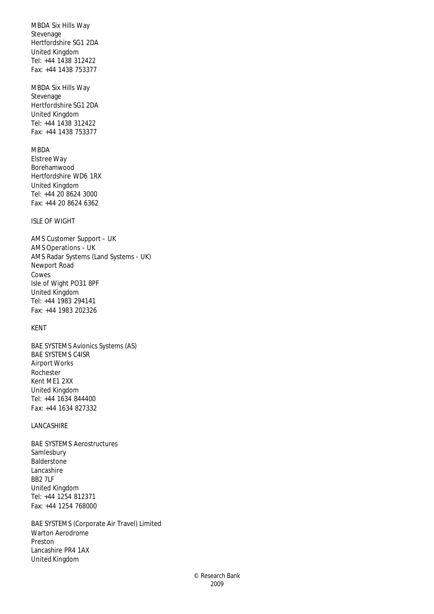MBDA Six Hills Way Stevenage Hertfordshire SG1 2DA United Kingdom Tel: +44 1438 312422 Fax: +44 1438 753377

MBDA Six Hills Way Stevenage Hertfordshire SG1 2DA United Kingdom Tel: +44 1438 312422 Fax: +44 1438 753377

# **MBDA**

Elstree Way Borehamwood Hertfordshire WD6 1RX United Kingdom Tel: +44 20 8624 3000 Fax: +44 20 8624 6362

# ISLE OF WIGHT

AMS Customer Support – UK AMS Operations – UK AMS Radar Systems (Land Systems – UK) Newport Road Cowes Isle of Wight PO31 8PF United Kingdom Tel: +44 1983 294141 Fax: +44 1983 202326

#### KENT

BAE SYSTEMS Avionics Systems (AS) BAE SYSTEMS C4ISR Airport Works Rochester Kent ME1 2XX United Kingdom Tel: +44 1634 844400 Fax: +44 1634 827332

#### LANCASHIRE

BAE SYSTEMS Aerostructures Samlesbury **Balderstone** Lancashire BB2 7LF United Kingdom Tel: +44 1254 812371 Fax: +44 1254 768000

BAE SYSTEMS (Corporate Air Travel) Limited Warton Aerodrome Preston Lancashire PR4 1AX United Kingdom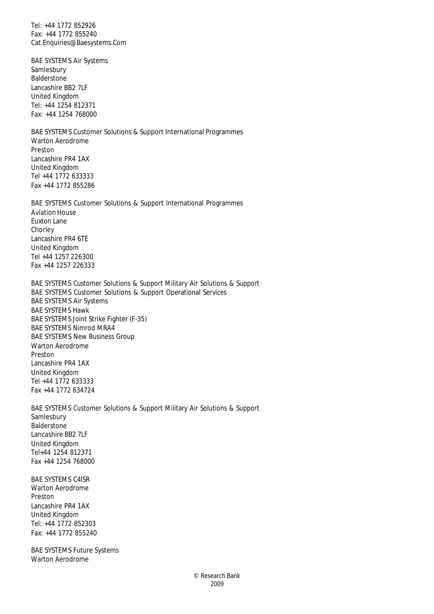Tel: +44 1772 852926 Fax: +44 1772 855240 Cat.Enquiries@Baesystems.Com

BAE SYSTEMS Air Systems Samlesbury **Balderstone** Lancashire BB2 7LF United Kingdom Tel: +44 1254 812371 Fax: +44 1254 768000

BAE SYSTEMS Customer Solutions & Support International Programmes Warton Aerodrome Preston Lancashire PR4 1AX United Kingdom Tel +44 1772 633333 Fax +44 1772 855286

BAE SYSTEMS Customer Solutions & Support International Programmes Aviation House Euxton Lane **Chorley** Lancashire PR4 6TE United Kingdom Tel +44 1257 226300 Fax +44 1257 226333

BAE SYSTEMS Customer Solutions & Support Military Air Solutions & Support BAE SYSTEMS Customer Solutions & Support Operational Services BAE SYSTEMS Air Systems BAE SYSTEMS Hawk BAE SYSTEMS Joint Strike Fighter (F-35) BAE SYSTEMS Nimrod MRA4 BAE SYSTEMS New Business Group Warton Aerodrome Preston Lancashire PR4 1AX United Kingdom Tel +44 1772 633333 Fax +44 1772 634724

BAE SYSTEMS Customer Solutions & Support Military Air Solutions & Support Samlesbury Balderstone Lancashire BB2 7LF United Kingdom Tel+44 1254 812371 Fax +44 1254 768000

BAE SYSTEMS C4ISR Warton Aerodrome Preston Lancashire PR4 1AX United Kingdom Tel: +44 1772 852303 Fax: +44 1772 855240

BAE SYSTEMS Future Systems Warton Aerodrome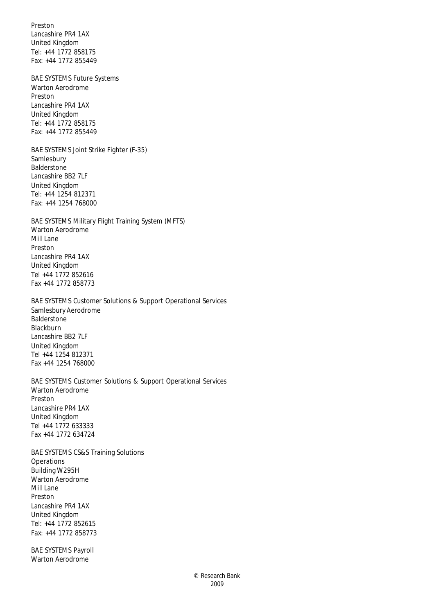Preston Lancashire PR4 1AX United Kingdom Tel: +44 1772 858175 Fax: +44 1772 855449

BAE SYSTEMS Future Systems Warton Aerodrome Preston Lancashire PR4 1AX United Kingdom Tel: +44 1772 858175 Fax: +44 1772 855449

BAE SYSTEMS Joint Strike Fighter (F-35) Samlesbury Balderstone Lancashire BB2 7LF United Kingdom Tel: +44 1254 812371 Fax: +44 1254 768000

BAE SYSTEMS Military Flight Training System (MFTS) Warton Aerodrome Mill Lane Preston Lancashire PR4 1AX United Kingdom Tel +44 1772 852616 Fax +44 1772 858773

BAE SYSTEMS Customer Solutions & Support Operational Services Samlesbury Aerodrome Balderstone Blackburn Lancashire BB2 7LF United Kingdom Tel +44 1254 812371 Fax +44 1254 768000

BAE SYSTEMS Customer Solutions & Support Operational Services Warton Aerodrome Preston Lancashire PR4 1AX United Kingdom Tel +44 1772 633333 Fax +44 1772 634724

BAE SYSTEMS CS&S Training Solutions **Operations** Building W295H Warton Aerodrome Mill Lane Preston Lancashire PR4 1AX United Kingdom Tel: +44 1772 852615 Fax: +44 1772 858773

BAE SYSTEMS Payroll Warton Aerodrome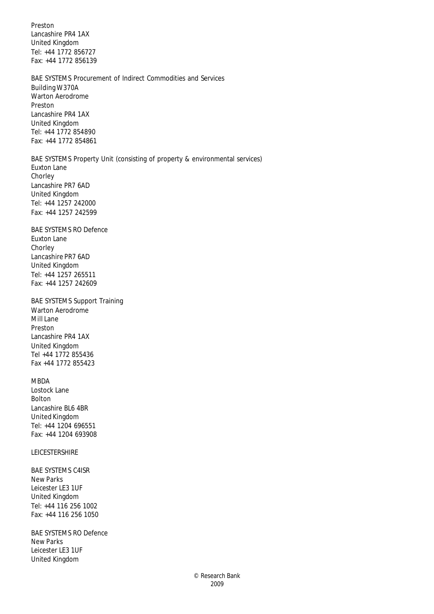Preston Lancashire PR4 1AX United Kingdom Tel: +44 1772 856727 Fax: +44 1772 856139

BAE SYSTEMS Procurement of Indirect Commodities and Services Building W370A Warton Aerodrome Preston Lancashire PR4 1AX United Kingdom Tel: +44 1772 854890 Fax: +44 1772 854861

BAE SYSTEMS Property Unit (consisting of property & environmental services) Euxton Lane Chorley Lancashire PR7 6AD United Kingdom Tel: +44 1257 242000 Fax: +44 1257 242599

BAE SYSTEMS RO Defence Euxton Lane Chorley Lancashire PR7 6AD United Kingdom Tel: +44 1257 265511 Fax: +44 1257 242609

BAE SYSTEMS Support Training Warton Aerodrome Mill Lane Preston Lancashire PR4 1AX United Kingdom Tel +44 1772 855436 Fax +44 1772 855423

# MBDA

Lostock Lane Bolton Lancashire BL6 4BR United Kingdom Tel: +44 1204 696551 Fax: +44 1204 693908

LEICESTERSHIRE

BAE SYSTEMS C4ISR New Parks Leicester LE3 1UF United Kingdom Tel: +44 116 256 1002 Fax: +44 116 256 1050

BAE SYSTEMS RO Defence New Parks Leicester LE3 1UF United Kingdom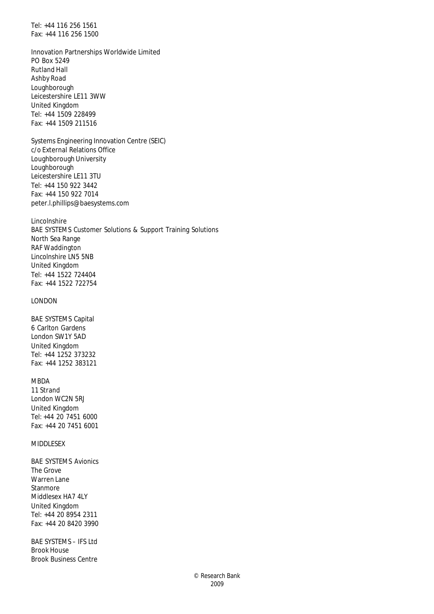Tel: +44 116 256 1561 Fax: +44 116 256 1500

Innovation Partnerships Worldwide Limited PO Box 5249 Rutland Hall Ashby Road Loughborough Leicestershire LE11 3WW United Kingdom Tel: +44 1509 228499 Fax: +44 1509 211516

Systems Engineering Innovation Centre (SEIC) c/o External Relations Office Loughborough University Loughborough Leicestershire LE11 3TU Tel: +44 150 922 3442 Fax: +44 150 922 7014 peter.l.phillips@baesystems.com

Lincolnshire BAE SYSTEMS Customer Solutions & Support Training Solutions North Sea Range RAF Waddington Lincolnshire LN5 5NB United Kingdom Tel: +44 1522 724404 Fax: +44 1522 722754

#### LONDON

BAE SYSTEMS Capital 6 Carlton Gardens London SW1Y 5AD United Kingdom Tel: +44 1252 373232 Fax: +44 1252 383121

#### MBDA

11 Strand London WC2N 5RJ United Kingdom Tel: +44 20 7451 6000 Fax: +44 20 7451 6001

# MIDDLESEX

BAE SYSTEMS Avionics The Grove Warren Lane Stanmore Middlesex HA7 4LY United Kingdom Tel: +44 20 8954 2311 Fax: +44 20 8420 3990

BAE SYSTEMS – IFS Ltd Brook House Brook Business Centre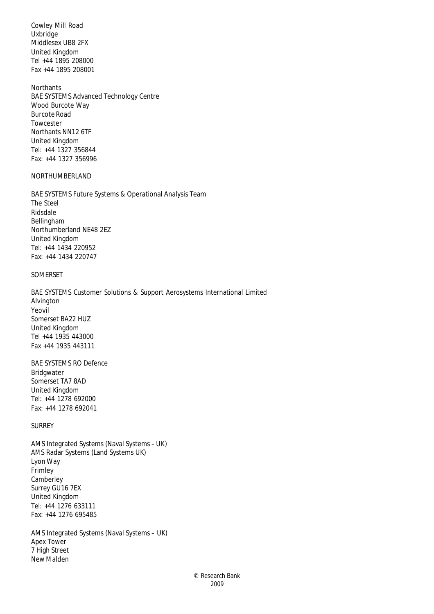Cowley Mill Road Uxbridge Middlesex UB8 2FX United Kingdom Tel +44 1895 208000 Fax +44 1895 208001

Northants BAE SYSTEMS Advanced Technology Centre Wood Burcote Way Burcote Road Towcester Northants NN12 6TF United Kingdom Tel: +44 1327 356844 Fax: +44 1327 356996

#### NORTHUMBERLAND

BAE SYSTEMS Future Systems & Operational Analysis Team The Steel Ridsdale Bellingham Northumberland NE48 2EZ United Kingdom Tel: +44 1434 220952 Fax: +44 1434 220747

# SOMERSET

BAE SYSTEMS Customer Solutions & Support Aerosystems International Limited Alvington Yeovil Somerset BA22 HUZ United Kingdom Tel +44 1935 443000 Fax +44 1935 443111

BAE SYSTEMS RO Defence Bridgwater Somerset TA7 8AD United Kingdom Tel: +44 1278 692000 Fax: +44 1278 692041

#### SURREY

AMS Integrated Systems (Naval Systems – UK) AMS Radar Systems (Land Systems UK) Lyon Way Frimley **Camberley** Surrey GU16 7EX United Kingdom Tel: +44 1276 633111 Fax: +44 1276 695485

AMS Integrated Systems (Naval Systems – UK) Apex Tower 7 High Street New Malden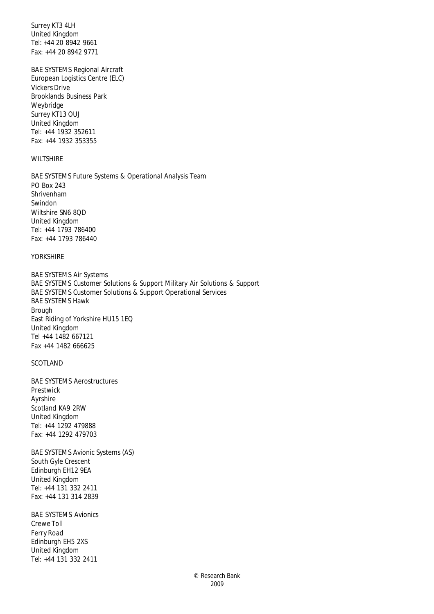Surrey KT3 4LH United Kingdom Tel: +44 20 8942 9661 Fax: +44 20 8942 9771

BAE SYSTEMS Regional Aircraft European Logistics Centre (ELC) Vickers Drive Brooklands Business Park Weybridge Surrey KT13 OUJ United Kingdom Tel: +44 1932 352611 Fax: +44 1932 353355

# WILTSHIRE

BAE SYSTEMS Future Systems & Operational Analysis Team PO Box 243 Shrivenham Swindon Wiltshire SN6 8QD United Kingdom Tel: +44 1793 786400 Fax: +44 1793 786440

#### YORKSHIRE

BAE SYSTEMS Air Systems BAE SYSTEMS Customer Solutions & Support Military Air Solutions & Support BAE SYSTEMS Customer Solutions & Support Operational Services BAE SYSTEMS Hawk Brough East Riding of Yorkshire HU15 1EQ United Kingdom Tel +44 1482 667121 Fax +44 1482 666625

# SCOTLAND

BAE SYSTEMS Aerostructures Prestwick Ayrshire Scotland KA9 2RW United Kingdom Tel: +44 1292 479888 Fax: +44 1292 479703

BAE SYSTEMS Avionic Systems (AS) South Gyle Crescent Edinburgh EH12 9EA United Kingdom Tel: +44 131 332 2411 Fax: +44 131 314 2839

BAE SYSTEMS Avionics Crewe Toll Ferry Road Edinburgh EH5 2XS United Kingdom Tel: +44 131 332 2411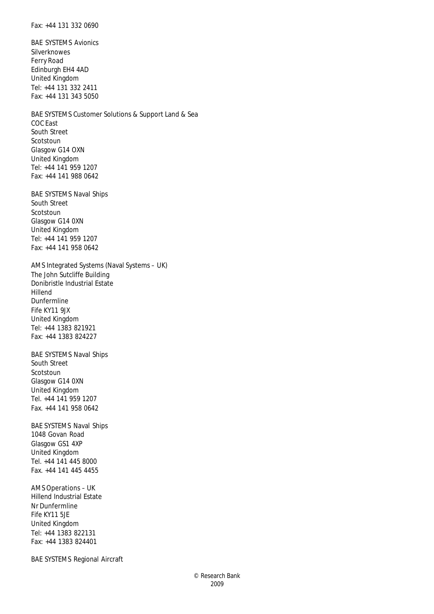Fax: +44 131 332 0690

BAE SYSTEMS Avionics Silverknowes Ferry Road Edinburgh EH4 4AD United Kingdom Tel: +44 131 332 2411 Fax: +44 131 343 5050

BAE SYSTEMS Customer Solutions & Support Land & Sea COC East South Street Scotstoun Glasgow G14 OXN United Kingdom Tel: +44 141 959 1207 Fax: +44 141 988 0642

BAE SYSTEMS Naval Ships South Street Scotstoun Glasgow G14 0XN United Kingdom Tel: +44 141 959 1207 Fax: +44 141 958 0642

AMS Integrated Systems (Naval Systems – UK) The John Sutcliffe Building Donibristle Industrial Estate Hillend Dunfermline Fife KY11 9JX United Kingdom Tel: +44 1383 821921 Fax: +44 1383 824227

BAE SYSTEMS Naval Ships South Street Scotstoun Glasgow G14 0XN United Kingdom Tel. +44 141 959 1207 Fax. +44 141 958 0642

BAE SYSTEMS Naval Ships 1048 Govan Road Glasgow GS1 4XP United Kingdom Tel. +44 141 445 8000 Fax. +44 141 445 4455

AMS Operations – UK Hillend Industrial Estate Nr Dunfermline Fife KY11 5JE United Kingdom Tel: +44 1383 822131 Fax: +44 1383 824401

BAE SYSTEMS Regional Aircraft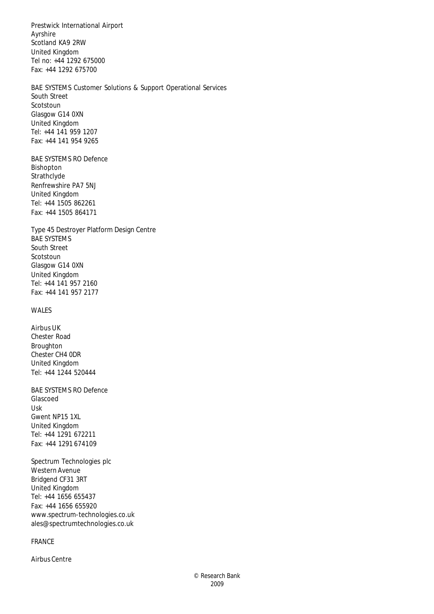Prestwick International Airport Ayrshire Scotland KA9 2RW United Kingdom Tel no: +44 1292 675000 Fax: +44 1292 675700

BAE SYSTEMS Customer Solutions & Support Operational Services South Street Scotstoun Glasgow G14 0XN United Kingdom Tel: +44 141 959 1207 Fax: +44 141 954 9265

BAE SYSTEMS RO Defence Bishopton Strathclyde Renfrewshire PA7 5NJ United Kingdom Tel: +44 1505 862261 Fax: +44 1505 864171

Type 45 Destroyer Platform Design Centre BAE SYSTEMS South Street Scotstoun Glasgow G14 0XN United Kingdom Tel: +44 141 957 2160 Fax: +44 141 957 2177

# WALES

Airbus UK Chester Road Broughton Chester CH4 0DR United Kingdom Tel: +44 1244 520444

BAE SYSTEMS RO Defence Glascoed Usk Gwent NP15 1XL United Kingdom Tel: +44 1291 672211 Fax: +44 1291 674109

Spectrum Technologies plc Western Avenue Bridgend CF31 3RT United Kingdom Tel: +44 1656 655437 Fax: +44 1656 655920 www.spectrum-technologies.co.uk ales@spectrumtechnologies.co.uk

# FRANCE

Airbus Centre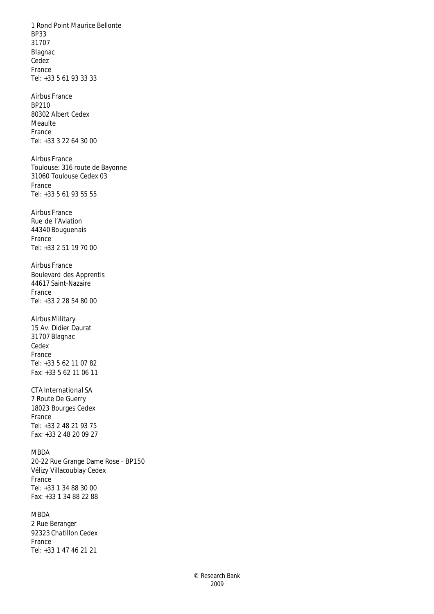1 Rond Point Maurice Bellonte BP33 31707 Blagnac Cedez France Tel: +33 5 61 93 33 33 Airbus France BP210 80302 Albert Cedex Meaulte France Tel: +33 3 22 64 30 00 Airbus France Toulouse: 316 route de Bayonne 31060 Toulouse Cedex 03 France Tel: +33 5 61 93 55 55 Airbus France Rue de l'Aviation 44340 Bouguenais France Tel: +33 2 51 19 70 00 Airbus France Boulevard des Apprentis 44617 Saint-Nazaire France Tel: +33 2 28 54 80 00 Airbus Military 15 Av. Didier Daurat 31707 Blagnac Cedex France Tel: +33 5 62 11 07 82 Fax: +33 5 62 11 06 11 CTA International SA 7 Route De Guerry 18023 Bourges Cedex France Tel: +33 2 48 21 93 75 Fax: +33 2 48 20 09 27 MBDA 20-22 Rue Grange Dame Rose – BP150 Vélizy Villacoublay Cedex France Tel: +33 1 34 88 30 00 Fax: +33 1 34 88 22 88 MBDA 2 Rue Beranger

92323 Chatillon Cedex France Tel: +33 1 47 46 21 21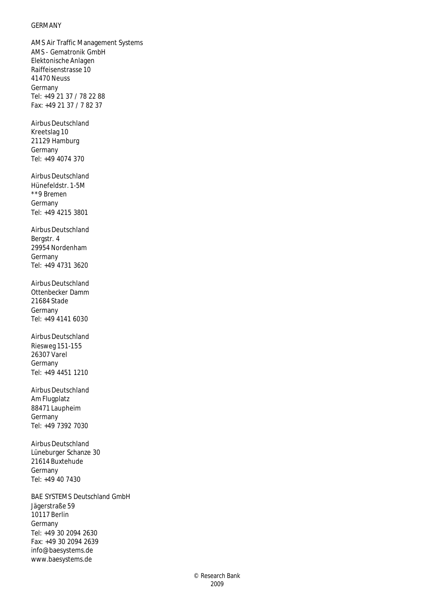### GERMANY

AMS Air Traffic Management Systems AMS - Gematronik GmbH Elektonische Anlagen Raiffeisenstrasse 10 41470 Neuss Germany Tel: +49 21 37 / 78 22 88 Fax: +49 21 37 / 7 82 37

Airbus Deutschland Kreetslag 10 21129 Hamburg Germany Tel: +49 4074 370

Airbus Deutschland Hünefeldstr. 1-5M \*\*9 Bremen Germany Tel: +49 4215 3801

Airbus Deutschland Bergstr. 4 29954 Nordenham Germany Tel: +49 4731 3620

Airbus Deutschland Ottenbecker Damm 21684 Stade Germany Tel: +49 4141 6030

Airbus Deutschland Riesweg 151-155 26307 Varel Germany Tel: +49 4451 1210

Airbus Deutschland Am Flugplatz 88471 Laupheim Germany Tel: +49 7392 7030

Airbus Deutschland Lüneburger Schanze 30 21614 Buxtehude Germany Tel: +49 40 7430

BAE SYSTEMS Deutschland GmbH Jägerstraße 59 10117 Berlin Germany Tel: +49 30 2094 2630 Fax: +49 30 2094 2639 info@baesystems.de www.baesystems.de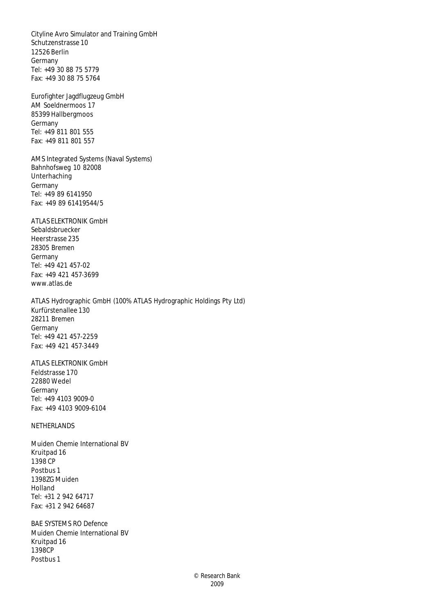Cityline Avro Simulator and Training GmbH Schutzenstrasse 10 12526 Berlin Germany Tel: +49 30 88 75 5779 Fax: +49 30 88 75 5764

Eurofighter Jagdflugzeug GmbH AM Soeldnermoos 17 85399 Hallbergmoos Germany Tel: +49 811 801 555 Fax: +49 811 801 557

AMS Integrated Systems (Naval Systems) Bahnhofsweg 10 82008 Unterhaching Germany Tel: +49 89 6141950 Fax: +49 89 61419544/5

ATLAS ELEKTRONIK GmbH Sebaldsbruecker Heerstrasse 235 28305 Bremen Germany Tel: +49 421 457-02 Fax: +49 421 457-3699 www.atlas.de

ATLAS Hydrographic GmbH (100% ATLAS Hydrographic Holdings Pty Ltd) Kurfürstenallee 130 28211 Bremen Germany Tel: +49 421 457-2259 Fax: +49 421 457-3449

ATLAS ELEKTRONIK GmbH Feldstrasse 170 22880 Wedel Germany Tel: +49 4103 9009-0 Fax: +49 4103 9009-6104

NETHERLANDS

Muiden Chemie International BV Kruitpad 16 1398 CP Postbus 1 1398ZG Muiden Holland Tel: +31 2 942 64717 Fax: +31 2 942 64687

BAE SYSTEMS RO Defence Muiden Chemie International BV Kruitpad 16 1398CP Postbus 1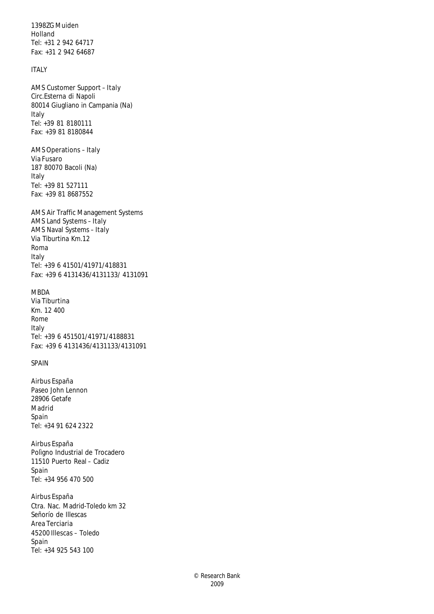1398ZG Muiden Holland Tel: +31 2 942 64717 Fax: +31 2 942 64687

# ITALY

AMS Customer Support – Italy Circ.Esterna di Napoli 80014 Giugliano in Campania (Na) Italy Tel: +39 81 8180111 Fax: +39 81 8180844

AMS Operations – Italy Via Fusaro 187 80070 Bacoli (Na) Italy Tel: +39 81 527111 Fax: +39 81 8687552

AMS Air Traffic Management Systems AMS Land Systems – Italy AMS Naval Systems – Italy Via Tiburtina Km.12 Roma Italy Tel: +39 6 41501/41971/418831 Fax: +39 6 4131436/4131133/ 4131091

### MBDA

Via Tiburtina Km. 12 400 Rome Italy Tel: +39 6 451501/41971/4188831 Fax: +39 6 4131436/4131133/4131091

# SPAIN

Airbus España Paseo John Lennon 28906 Getafe Madrid Spain Tel: +34 91 624 2322

Airbus España Polìgno Industrial de Trocadero 11510 Puerto Real – Cadiz Spain Tel: +34 956 470 500

Airbus España Ctra. Nac. Madrid-Toledo km 32 Señorío de Illescas Area Terciaria 45200 Illescas – Toledo Spain Tel: +34 925 543 100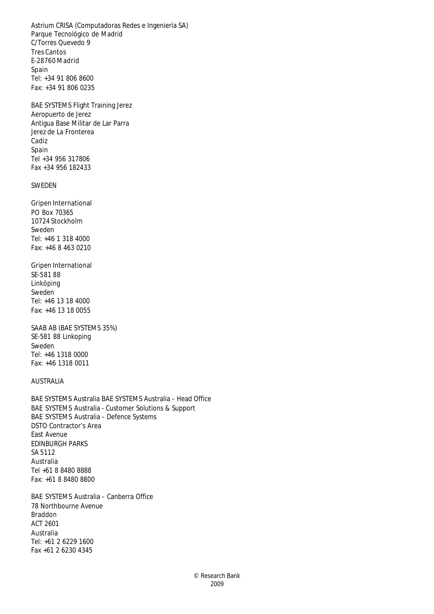Astrium CRISA (Computadoras Redes e Ingeniería SA) Parque Tecnológico de Madrid C/Torres Quevedo 9 Tres Cantos E-28760 Madrid Spain Tel: +34 91 806 8600 Fax: +34 91 806 0235

BAE SYSTEMS Flight Training Jerez Aeropuerto de Jerez Antigua Base Militar de Lar Parra Jerez de La Fronterea Cadiz Spain Tel +34 956 317806 Fax +34 956 182433

#### SWEDEN

Gripen International PO Box 70365 10724 Stockholm Sweden Tel: +46 1 318 4000 Fax: +46 8 463 0210

Gripen International SE-581 88 Linköping Sweden Tel: +46 13 18 4000 Fax: +46 13 18 0055

SAAB AB (BAE SYSTEMS 35%) SE-581 88 Linkoping Sweden Tel: +46 1318 0000 Fax: +46 1318 0011

# AUSTRALIA

BAE SYSTEMS Australia BAE SYSTEMS Australia – Head Office BAE SYSTEMS Australia - Customer Solutions & Support BAE SYSTEMS Australia – Defence Systems DSTO Contractor's Area East Avenue EDINBURGH PARKS SA 5112 Australia Tel +61 8 8480 8888 Fax: +61 8 8480 8800

BAE SYSTEMS Australia – Canberra Office 78 Northbourne Avenue Braddon ACT 2601 Australia Tel: +61 2 6229 1600 Fax +61 2 6230 4345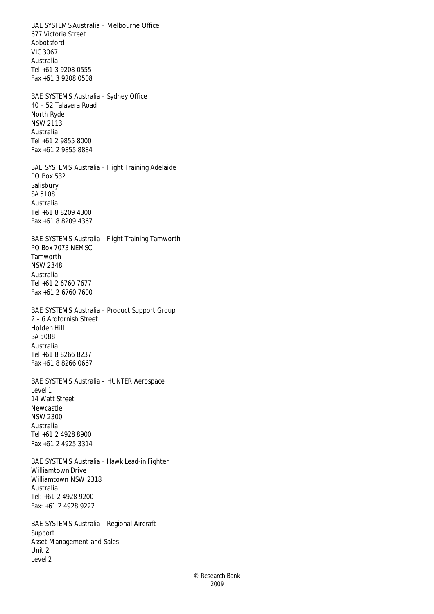BAE SYSTEMS Australia – Melbourne Office 677 Victoria Street Abbotsford VIC 3067 Australia Tel +61 3 9208 0555 Fax +61 3 9208 0508 BAE SYSTEMS Australia – Sydney Office 40 – 52 Talavera Road North Ryde NSW 2113 Australia Tel +61 2 9855 8000 Fax +61 2 9855 8884 BAE SYSTEMS Australia – Flight Training Adelaide PO Box 532 Salisbury SA 5108 Australia Tel +61 8 8209 4300 Fax +61 8 8209 4367 BAE SYSTEMS Australia – Flight Training Tamworth PO Box 7073 NEMSC Tamworth NSW 2348 Australia Tel +61 2 6760 7677 Fax +61 2 6760 7600 BAE SYSTEMS Australia – Product Support Group 2 – 6 Ardtornish Street Holden Hill SA 5088 Australia Tel +61 8 8266 8237 Fax +61 8 8266 0667 BAE SYSTEMS Australia – HUNTER Aerospace Level 1 14 Watt Street Newcastle NSW 2300 Australia Tel +61 2 4928 8900 Fax +61 2 4925 3314 BAE SYSTEMS Australia – Hawk Lead-in Fighter Williamtown Drive Williamtown NSW 2318 Australia Tel: +61 2 4928 9200 Fax: +61 2 4928 9222 BAE SYSTEMS Australia – Regional Aircraft Support Asset Management and Sales

Unit 2 Level 2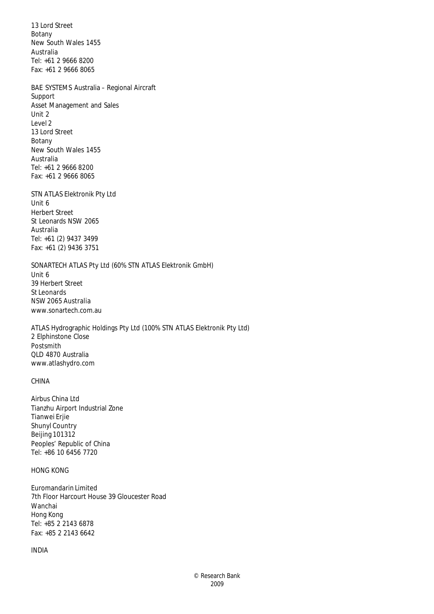13 Lord Street Botany New South Wales 1455 Australia Tel: +61 2 9666 8200 Fax: +61 2 9666 8065

BAE SYSTEMS Australia – Regional Aircraft Support Asset Management and Sales Unit 2 Level 2 13 Lord Street Botany New South Wales 1455 Australia Tel: +61 2 9666 8200 Fax: +61 2 9666 8065

STN ATLAS Elektronik Pty Ltd Unit 6 Herbert Street St Leonards NSW 2065 Australia Tel: +61 (2) 9437 3499 Fax: +61 (2) 9436 3751

SONARTECH ATLAS Pty Ltd (60% STN ATLAS Elektronik GmbH) Unit 6 39 Herbert Street St Leonards NSW 2065 Australia www.sonartech.com.au

ATLAS Hydrographic Holdings Pty Ltd (100% STN ATLAS Elektronik Pty Ltd) 2 Elphinstone Close Postsmith QLD 4870 Australia www.atlashydro.com

# CHINA

Airbus China Ltd Tianzhu Airport Industrial Zone Tianwei Erjie Shunyl Country Beijing 101312 Peoples' Republic of China Tel: +86 10 6456 7720

# HONG KONG

Euromandarin Limited 7th Floor Harcourt House 39 Gloucester Road Wanchai Hong Kong Tel: +85 2 2143 6878 Fax: +85 2 2143 6642

#### INDIA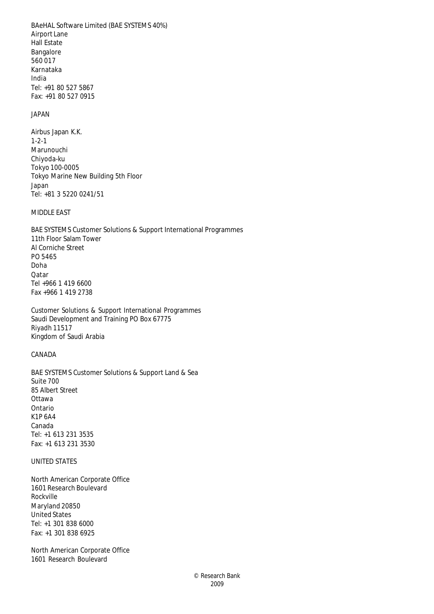BAeHAL Software Limited (BAE SYSTEMS 40%) Airport Lane Hall Estate Bangalore 560 017 Karnataka India Tel: +91 80 527 5867 Fax: +91 80 527 0915

#### JAPAN

Airbus Japan K.K. 1-2-1 Marunouchi Chiyoda-ku Tokyo 100-0005 Tokyo Marine New Building 5th Floor Japan Tel: +81 3 5220 0241/51

# MIDDLE EAST

BAE SYSTEMS Customer Solutions & Support International Programmes 11th Floor Salam Tower Al Corniche Street PO 5465 Doha Qatar Tel +966 1 419 6600 Fax +966 1 419 2738

Customer Solutions & Support International Programmes Saudi Development and Training PO Box 67775 Riyadh 11517 Kingdom of Saudi Arabia

# CANADA

BAE SYSTEMS Customer Solutions & Support Land & Sea Suite 700 85 Albert Street **Ottawa** Ontario K1P 6A4 Canada Tel: +1 613 231 3535 Fax: +1 613 231 3530

### UNITED STATES

North American Corporate Office 1601 Research Boulevard Rockville Maryland 20850 United States Tel: +1 301 838 6000 Fax: +1 301 838 6925

North American Corporate Office 1601 Research Boulevard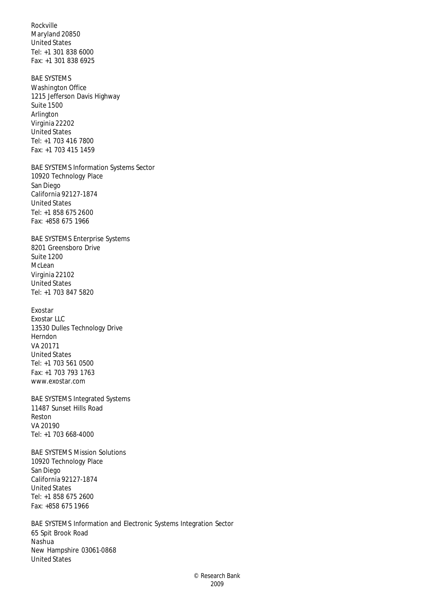Rockville Maryland 20850 United States Tel: +1 301 838 6000 Fax: +1 301 838 6925

BAE SYSTEMS Washington Office 1215 Jefferson Davis Highway Suite 1500 Arlington Virginia 22202 United States Tel: +1 703 416 7800 Fax: +1 703 415 1459

BAE SYSTEMS Information Systems Sector 10920 Technology Place San Diego California 92127-1874 United States Tel: +1 858 675 2600 Fax: +858 675 1966

BAE SYSTEMS Enterprise Systems 8201 Greensboro Drive Suite 1200 McLean Virginia 22102 United States Tel: +1 703 847 5820

Exostar Exostar LLC 13530 Dulles Technology Drive Herndon VA 20171 United States Tel: +1 703 561 0500 Fax: +1 703 793 1763 www.exostar.com

BAE SYSTEMS Integrated Systems 11487 Sunset Hills Road Reston VA 20190 Tel: +1 703 668-4000

BAE SYSTEMS Mission Solutions 10920 Technology Place San Diego California 92127-1874 United States Tel: +1 858 675 2600 Fax: +858 675 1966

BAE SYSTEMS Information and Electronic Systems Integration Sector 65 Spit Brook Road Nashua New Hampshire 03061-0868 United States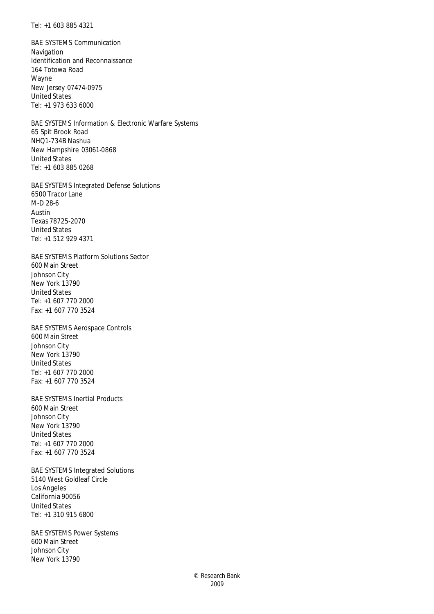Tel: +1 603 885 4321

BAE SYSTEMS Communication Navigation Identification and Reconnaissance 164 Totowa Road Wayne New Jersey 07474-0975 United States Tel: +1 973 633 6000

BAE SYSTEMS Information & Electronic Warfare Systems 65 Spit Brook Road NHQ1-734B Nashua New Hampshire 03061-0868 United States Tel: +1 603 885 0268

BAE SYSTEMS Integrated Defense Solutions 6500 Tracor Lane M-D 28-6 Austin Texas 78725-2070 United States Tel: +1 512 929 4371

BAE SYSTEMS Platform Solutions Sector 600 Main Street Johnson City New York 13790 United States Tel: +1 607 770 2000 Fax: +1 607 770 3524

BAE SYSTEMS Aerospace Controls 600 Main Street Johnson City New York 13790 United States Tel: +1 607 770 2000 Fax: +1 607 770 3524

BAE SYSTEMS Inertial Products 600 Main Street Johnson City New York 13790 United States Tel: +1 607 770 2000 Fax: +1 607 770 3524

BAE SYSTEMS Integrated Solutions 5140 West Goldleaf Circle Los Angeles California 90056 United States Tel: +1 310 915 6800

BAE SYSTEMS Power Systems 600 Main Street Johnson City New York 13790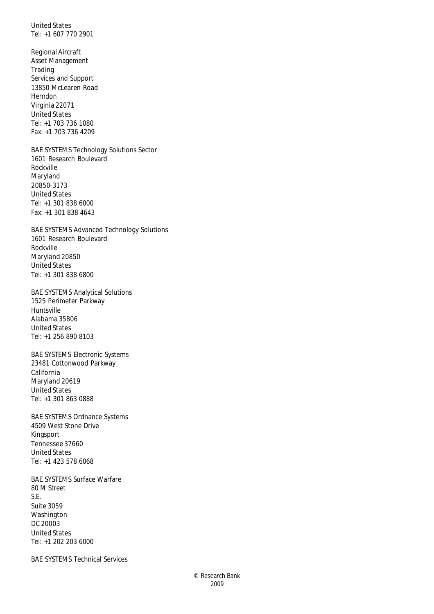United States Tel: +1 607 770 2901

Regional Aircraft Asset Management Trading Services and Support 13850 McLearen Road Herndon Virginia 22071 United States Tel: +1 703 736 1080 Fax: +1 703 736 4209

BAE SYSTEMS Technology Solutions Sector 1601 Research Boulevard Rockville Maryland 20850-3173 United States Tel: +1 301 838 6000 Fax: +1 301 838 4643

BAE SYSTEMS Advanced Technology Solutions 1601 Research Boulevard Rockville Maryland 20850 United States Tel: +1 301 838 6800

BAE SYSTEMS Analytical Solutions 1525 Perimeter Parkway Huntsville Alabama 35806 United States Tel: +1 256 890 8103

BAE SYSTEMS Electronic Systems 23481 Cottonwood Parkway California Maryland 20619 United States Tel: +1 301 863 0888

BAE SYSTEMS Ordnance Systems 4509 West Stone Drive Kingsport Tennessee 37660 United States Tel: +1 423 578 6068

BAE SYSTEMS Surface Warfare 80 M Street S.E. Suite 3059 Washington DC 20003 United States Tel: +1 202 203 6000

BAE SYSTEMS Technical Services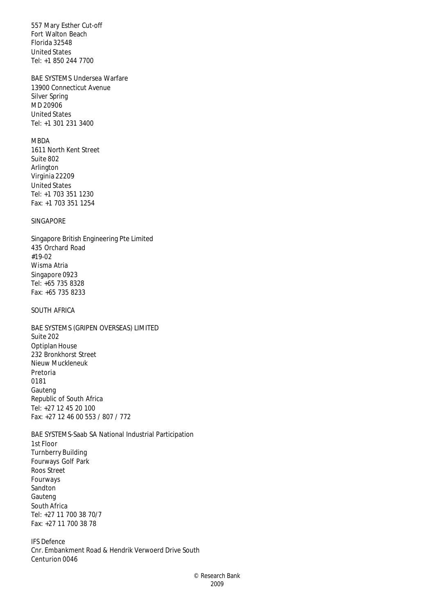557 Mary Esther Cut-off Fort Walton Beach Florida 32548 United States Tel: +1 850 244 7700

# BAE SYSTEMS Undersea Warfare

13900 Connecticut Avenue Silver Spring MD 20906 United States Tel: +1 301 231 3400

# MBDA

1611 North Kent Street Suite 802 Arlington Virginia 22209 United States Tel: +1 703 351 1230 Fax: +1 703 351 1254

# SINGAPORE

Singapore British Engineering Pte Limited 435 Orchard Road #19-02 Wisma Atria Singapore 0923 Tel: +65 735 8328 Fax: +65 735 8233

# SOUTH AFRICA

BAE SYSTEMS (GRIPEN OVERSEAS) LIMITED Suite 202 Optiplan House 232 Bronkhorst Street Nieuw Muckleneuk Pretoria 0181 Gauteng Republic of South Africa Tel: +27 12 45 20 100 Fax: +27 12 46 00 553 / 807 / 772

BAE SYSTEMS-Saab SA National Industrial Participation 1st Floor Turnberry Building Fourways Golf Park Roos Street Fourways Sandton Gauteng South Africa Tel: +27 11 700 38 70/7 Fax: +27 11 700 38 78

IFS Defence Cnr. Embankment Road & Hendrik Verwoerd Drive South Centurion 0046